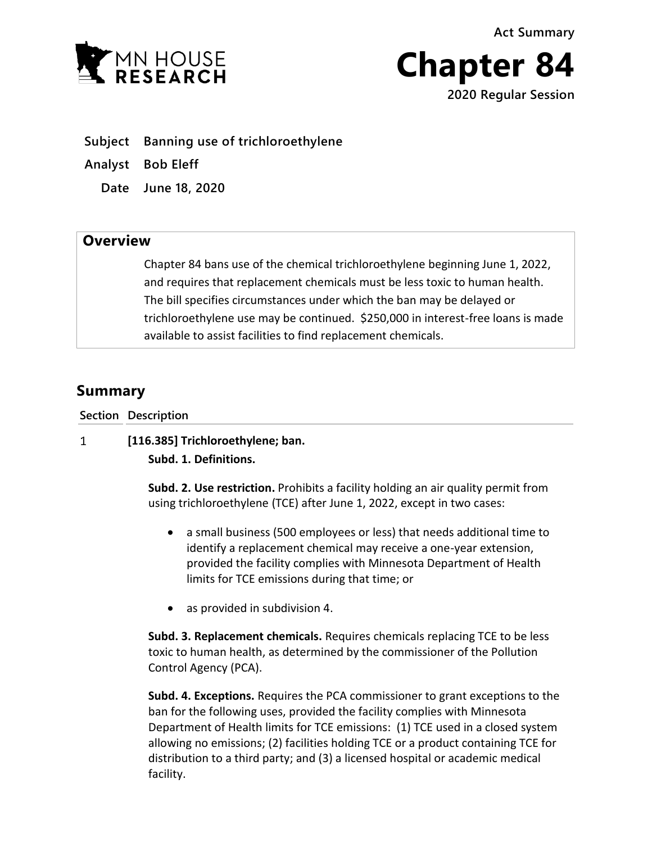**Act Summary**





**Subject Banning use of trichloroethylene**

**Analyst Bob Eleff**

**Date June 18, 2020**

## **Overview**

Chapter 84 bans use of the chemical trichloroethylene beginning June 1, 2022, and requires that replacement chemicals must be less toxic to human health. The bill specifies circumstances under which the ban may be delayed or trichloroethylene use may be continued. \$250,000 in interest-free loans is made available to assist facilities to find replacement chemicals.

# **Summary**

**Section Description**

#### **[116.385] Trichloroethylene; ban.**  $\mathbf{1}$

**Subd. 1. Definitions.**

**Subd. 2. Use restriction.** Prohibits a facility holding an air quality permit from using trichloroethylene (TCE) after June 1, 2022, except in two cases:

- a small business (500 employees or less) that needs additional time to identify a replacement chemical may receive a one-year extension, provided the facility complies with Minnesota Department of Health limits for TCE emissions during that time; or
- as provided in subdivision 4.

**Subd. 3. Replacement chemicals.** Requires chemicals replacing TCE to be less toxic to human health, as determined by the commissioner of the Pollution Control Agency (PCA).

**Subd. 4. Exceptions.** Requires the PCA commissioner to grant exceptions to the ban for the following uses, provided the facility complies with Minnesota Department of Health limits for TCE emissions: (1) TCE used in a closed system allowing no emissions; (2) facilities holding TCE or a product containing TCE for distribution to a third party; and (3) a licensed hospital or academic medical facility.